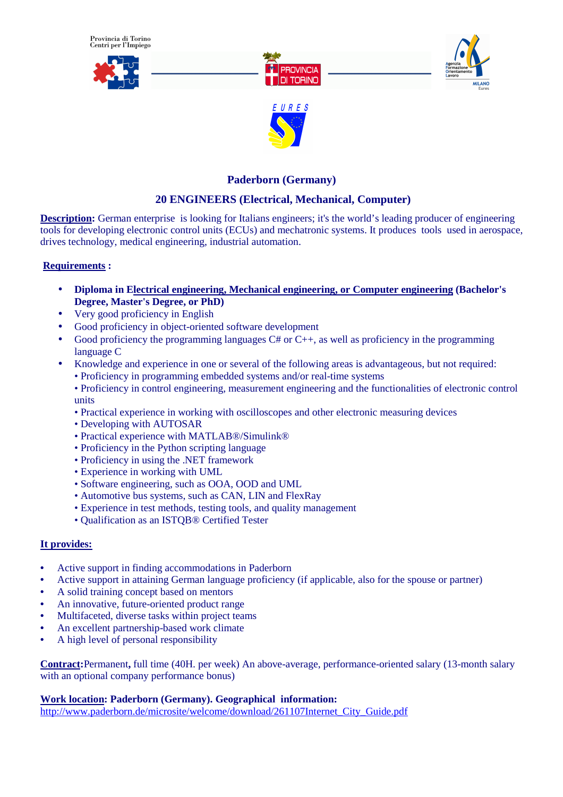



## **Paderborn (Germany)**

# **20 ENGINEERS (Electrical, Mechanical, Computer)**

**Description:** German enterprise is looking for Italians engineers; it's the world's leading producer of engineering tools for developing electronic control units (ECUs) and mechatronic systems. It produces tools used in aerospace, drives technology, medical engineering, industrial automation.

## **Requirements :**

- **Diploma in Electrical engineering, Mechanical engineering, or Computer engineering (Bachelor's Degree, Master's Degree, or PhD)**
- Very good proficiency in English
- Good proficiency in object-oriented software development
- Good proficiency the programming languages  $C#$  or  $C_{++}$ , as well as proficiency in the programming language C
- Knowledge and experience in one or several of the following areas is advantageous, but not required:
	- Proficiency in programming embedded systems and/or real-time systems
	- Proficiency in control engineering, measurement engineering and the functionalities of electronic control units
	- Practical experience in working with oscilloscopes and other electronic measuring devices
	- Developing with AUTOSAR
	- Practical experience with MATLAB®/Simulink®
	- Proficiency in the Python scripting language
	- Proficiency in using the .NET framework
	- Experience in working with UML
	- Software engineering, such as OOA, OOD and UML
	- Automotive bus systems, such as CAN, LIN and FlexRay
	- Experience in test methods, testing tools, and quality management
	- Qualification as an ISTQB® Certified Tester

## **It provides:**

- Active support in finding accommodations in Paderborn
- Active support in attaining German language proficiency (if applicable, also for the spouse or partner)
- A solid training concept based on mentors
- An innovative, future-oriented product range
- Multifaceted, diverse tasks within project teams
- An excellent partnership-based work climate
- A high level of personal responsibility

**Contract:**Permanent**,** full time (40H. per week) An above-average, performance-oriented salary (13-month salary with an optional company performance bonus)

**Work location: Paderborn (Germany). Geographical information:** 

http://www.paderborn.de/microsite/welcome/download/261107Internet\_City\_Guide.pdf